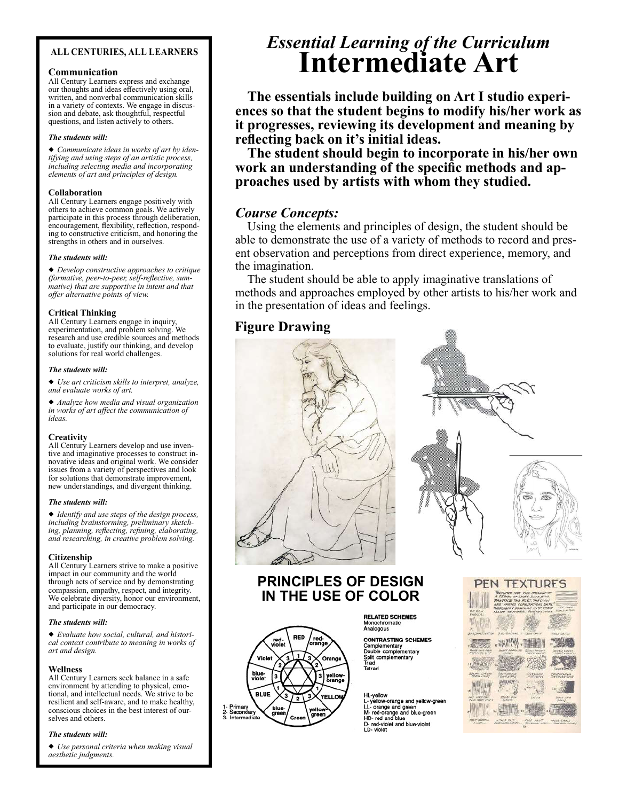### ALL CENTURIES, ALL LEARNERS

### Communication

All Century Learners express and exchange our thoughts and ideas effectively using oral, written, and nonverbal communication skills in a variety of contexts. We engage in discussion and debate, ask thoughtful, respectful questions, and listen actively to others.

### The students will:

Communicate ideas in works of art by identifying and using steps of an artistic process, including selecting media and incorporating elements of art and principles of design.

### Collaboration

All Century Learners engage positively with others to achieve common goals. We actively participate in this process through deliberation, encouragement, flexibility, reflection, responding to constructive criticism, and honoring the strengths in others and in ourselves.

### The students will:

Develop constructive approaches to critique (formative, peer-to-peer, self-reflective, summative) that are supportive in intent and that offer alternative points of view.

### Critical Thinking

All Century Learners engage in inquiry, experimentation, and problem solving. We research and use credible sources and methods to evaluate, justify our thinking, and develop solutions for real world challenges.

### The students will:

Use art criticism skills to interpret, analyze, and evaluate works of art.

Analyze how media and visual organization in works of art affect the communication of ideas.

### **Creativity**

All Century Learners develop and use inventive and imaginative processes to construct innovative ideas and original work. We consider issues from a variety of perspectives and look for solutions that demonstrate improvement, new understandings, and divergent thinking.

### The students will:

Identify and use steps of the design process, including brainstorming, preliminary sketching, planning, reflecting, refining, elaborating, and researching, in creative problem solving.

Citizenship All Century Learners strive to make a positive impact in our community and the world through acts of service and by demonstrating compassion, empathy, respect, and integrity. We celebrate diversity, honor our environment, and participate in our democracy.

### The students will:

Evaluate how social, cultural, and historical context contribute to meaning in works of art and design.

### Wellness

All Century Learners seek balance in a safe environment by attending to physical, emotional, and intellectual needs. We strive to be resilient and self-aware, and to make healthy, conscious choices in the best interest of ourselves and others.

### The students will:

Use personal criteria when making visual aesthetic judgments.

# Essential Learning of the Curriculum Intermediate Art

The essentials include building on Art I studio experiences so that the student begins to modify his/her work as it progresses, reviewing its development and meaning by reflecting back on it's initial ideas.

The student should begin to incorporate in his/her own work an understanding of the specific methods and approaches used by artists with whom they studied.

# Course Concepts:

Using the elements and principles of design, the student should be able to demonstrate the use of a variety of methods to record and present observation and perceptions from direct experience, memory, and the imagination.

The student should be able to apply imaginative translations of methods and approaches employed by other artists to his/her work and in the presentation of ideas and feelings.

# Figure Drawing





# PRINCIPLES OF DESIGN IN THE USE OF COLOR

Orang

RED

Viole

blue-<br>violet **BLUE** 

Primary<br>Secondar

**RELATED SCHEMES** Monochromatic<br>Analogous

**CONTRASTING SCHEM**<br>Complementary<br>Double complementary<br>Split complementary<br>Triad<br>Tetrad **CONTRASTING SCHEMES** 

### HL-yellow

ru-yeulow-orange and yellow-green<br>L- yellow-orange and green<br>LL- orange and green<br>HD- red-orange and blue-green<br>D- red-violet and blue-violet<br>LD- violet

|                                                    | PEN TEXTURES                                                  |                                                                                                                                   |                                                        |
|----------------------------------------------------|---------------------------------------------------------------|-----------------------------------------------------------------------------------------------------------------------------------|--------------------------------------------------------|
| <b>CAME 3 SLOVE</b><br>Verbrickt i                 | THOMSDONLY FAMILIAR WITH THRID<br>MAIN TEXTURAL POSSIBILITIES | <b>EXTURES ARE THE PESULT OF</b><br>A SERRES OF LINES, DOTS, ETC.<br>PRACTICE THE FAST, THE SLOW<br>AND VARIED COMMUNATIONS UNTIL | <b>OVE SINA!</b><br><b>LINTERINATEAS:</b>              |
| <b>SCR SHART LYATTER</b>                           | Grape Modernal V Leaw Approve                                 |                                                                                                                                   | <b>REASONAIRM</b>                                      |
| <b>CHANGE JUNIOR PROJEC</b><br><b>MESSON'S DAM</b> | hus f//KI<br><b>History AWA's Food E</b><br><b>SEXAND</b>     | <b>SEEMA: APENDITE</b><br>CROSS SHARES                                                                                            | MIKEO SHUET<br>CATCH AMERICA                           |
| <b>SANTA COMPANY</b><br>Gener Orlean               | <b>GAUVOLIA</b><br><b>HOOD CORPORATION</b><br>CONTRAINING     | CONVERSI                                                                                                                          | <b>GOOD COMP</b><br><b>SINIFINANZATION</b>             |
| <b>HAMAD OF ST</b>                                 | <b><i>ATEMAN &amp; ANALYS</i></b><br><b>ENGINY POR</b>        | <b>MISTERY</b><br><b>MYS</b>                                                                                                      | <b>DESTURAR ADVE</b><br>in the                         |
| <b>NOW PROPE SHAFT</b>                             | A July Armyra                                                 |                                                                                                                                   | DOTS SKA<br>504000                                     |
| <b>ALBA CORRANDE</b><br>ANIMAL'S                   | CONTRACTOR PARTY.<br><b>CONTINUOUS AVAILABLE</b>              | -PODS PIRAT  - PODS CROSS                                                                                                         | Think person consistency in all properties of consumer |